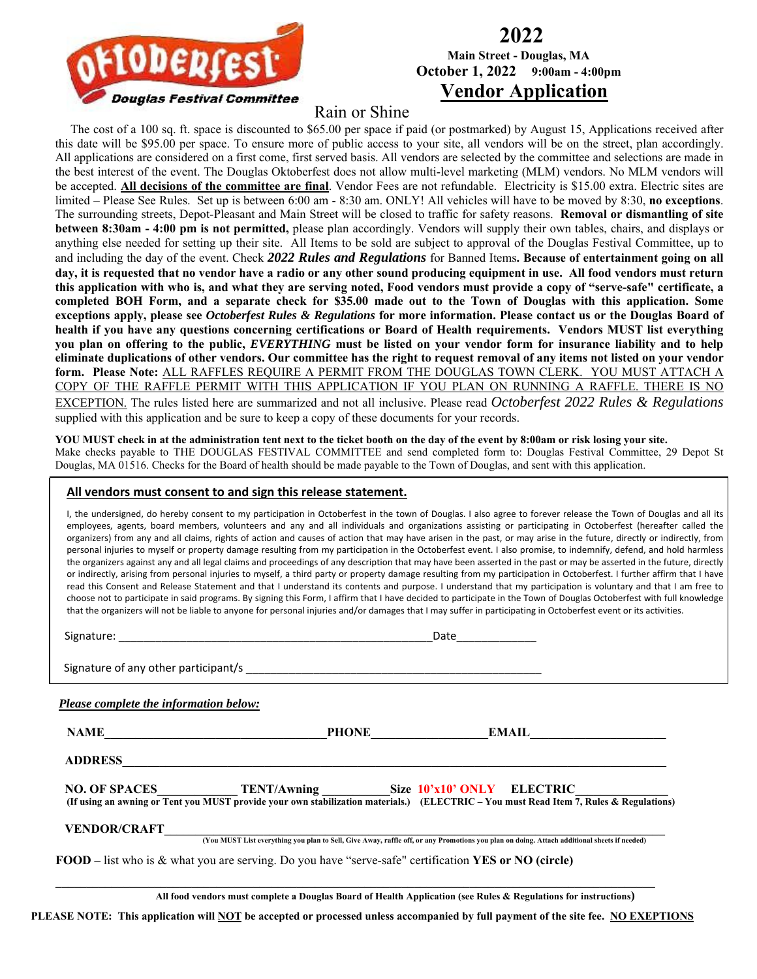

### **2022 Main Street - Douglas, MA October 1, 2022 9:00am - 4:00pm Vendor Application**

### Rain or Shine

 The cost of a 100 sq. ft. space is discounted to \$65.00 per space if paid (or postmarked) by August 15, Applications received after this date will be \$95.00 per space. To ensure more of public access to your site, all vendors will be on the street, plan accordingly. All applications are considered on a first come, first served basis. All vendors are selected by the committee and selections are made in the best interest of the event. The Douglas Oktoberfest does not allow multi-level marketing (MLM) vendors. No MLM vendors will be accepted. **All decisions of the committee are final**. Vendor Fees are not refundable. Electricity is \$15.00 extra. Electric sites are limited – Please See Rules. Set up is between 6:00 am - 8:30 am. ONLY! All vehicles will have to be moved by 8:30, **no exceptions**. The surrounding streets, Depot-Pleasant and Main Street will be closed to traffic for safety reasons. **Removal or dismantling of site between 8:30am - 4:00 pm is not permitted,** please plan accordingly. Vendors will supply their own tables, chairs, and displays or anything else needed for setting up their site. All Items to be sold are subject to approval of the Douglas Festival Committee, up to and including the day of the event. Check *2022 Rules and Regulations* for Banned Items**. Because of entertainment going on all day, it is requested that no vendor have a radio or any other sound producing equipment in use. All food vendors must return this application with who is, and what they are serving noted, Food vendors must provide a copy of "serve-safe" certificate, a completed BOH Form, and a separate check for \$35.00 made out to the Town of Douglas with this application. Some exceptions apply, please see** *Octoberfest Rules & Regulations* **for more information. Please contact us or the Douglas Board of health if you have any questions concerning certifications or Board of Health requirements. Vendors MUST list everything you plan on offering to the public,** *EVERYTHING* **must be listed on your vendor form for insurance liability and to help eliminate duplications of other vendors. Our committee has the right to request removal of any items not listed on your vendor form. Please Note:** ALL RAFFLES REQUIRE A PERMIT FROM THE DOUGLAS TOWN CLERK. YOU MUST ATTACH A COPY OF THE RAFFLE PERMIT WITH THIS APPLICATION IF YOU PLAN ON RUNNING A RAFFLE. THERE IS NO EXCEPTION. The rules listed here are summarized and not all inclusive. Please read *Octoberfest 2022 Rules & Regulations*

supplied with this application and be sure to keep a copy of these documents for your records.

**YOU MUST check in at the administration tent next to the ticket booth on the day of the event by 8:00am or risk losing your site.** 

Make checks payable to THE DOUGLAS FESTIVAL COMMITTEE and send completed form to: Douglas Festival Committee, 29 Depot St Douglas, MA 01516. Checks for the Board of health should be made payable to the Town of Douglas, and sent with this application.

#### **All vendors must consent to and sign this release statement.**

I, the undersigned, do hereby consent to my participation in Octoberfest in the town of Douglas. I also agree to forever release the Town of Douglas and all its employees, agents, board members, volunteers and any and all individuals and organizations assisting or participating in Octoberfest (hereafter called the organizers) from any and all claims, rights of action and causes of action that may have arisen in the past, or may arise in the future, directly or indirectly, from personal injuries to myself or property damage resulting from my participation in the Octoberfest event. I also promise, to indemnify, defend, and hold harmless the organizers against any and all legal claims and proceedings of any description that may have been asserted in the past or may be asserted in the future, directly or indirectly, arising from personal injuries to myself, a third party or property damage resulting from my participation in Octoberfest. I further affirm that I have read this Consent and Release Statement and that I understand its contents and purpose. I understand that my participation is voluntary and that I am free to choose not to participate in said programs. By signing this Form, I affirm that I have decided to participate in the Town of Douglas Octoberfest with full knowledge that the organizers will not be liable to anyone for personal injuries and/or damages that I may suffer in participating in Octoberfest event or its activities.

 Signature: \_\_\_\_\_\_\_\_\_\_\_\_\_\_\_\_\_\_\_\_\_\_\_\_\_\_\_\_\_\_\_\_\_\_\_\_\_\_\_\_\_\_\_\_\_\_\_\_\_\_\_Date\_\_\_\_\_\_\_\_\_\_\_\_\_ Signature of any other participant/s  *Please complete the information below:*  **NAME\_\_\_\_\_\_\_\_\_\_\_\_\_\_\_\_\_\_\_\_\_\_\_\_\_\_\_\_\_\_\_\_\_\_\_\_PHONE\_\_\_\_\_\_\_\_\_\_\_\_\_\_\_\_\_\_\_EMAIL\_\_\_\_\_\_\_\_\_\_\_\_\_\_\_\_\_\_\_\_\_\_**   $\bf{ADDRESS}$  and  $\bf{ADDRESS}$  and  $\bf{ADDRESS}$  and  $\bf{ADDRESS}$  and  $\bf{ADDRESS}$  and  $\bf{ADDRESS}$  and  $\bf{ADDRESS}$  and  $\bf{ADDRESS}$  and  $\bf{ADDRESS}$  and  $\bf{ADDRESS}$  and  $\bf{ADDRESS}$  and  $\bf{ADDRESS}$  and  $\bf{ADDRESS}$  and  $\bf{ADDRESS}$  and  $\bf{ADDRESS}$  an **NO. OF SPACES TENT/Awning Size 10'x10' ONLY ELECTRIC (If using an awning or Tent you MUST provide your own stabilization materials.) (ELECTRIC – You must Read Item 7, Rules & Regulations) VENDOR/CRAFT\_\_\_\_\_\_\_\_\_\_\_\_\_\_\_\_\_\_\_\_\_\_\_\_\_\_\_\_\_\_\_\_\_\_\_\_\_\_\_\_\_\_\_\_\_\_\_\_\_\_\_\_\_\_\_\_\_\_\_\_\_\_\_\_\_\_\_\_\_\_\_\_\_\_\_\_\_\_\_\_\_ (You MUST List everything you plan to Sell, Give Away, raffle off, or any Promotions you plan on doing. Attach additional sheets if needed) FOOD –** list who is & what you are serving. Do you have "serve-safe" certification **YES or NO (circle)**   $\mathcal{L}_\mathcal{L} = \{ \mathcal{L}_\mathcal{L} = \{ \mathcal{L}_\mathcal{L} = \{ \mathcal{L}_\mathcal{L} = \{ \mathcal{L}_\mathcal{L} = \{ \mathcal{L}_\mathcal{L} = \{ \mathcal{L}_\mathcal{L} = \{ \mathcal{L}_\mathcal{L} = \{ \mathcal{L}_\mathcal{L} = \{ \mathcal{L}_\mathcal{L} = \{ \mathcal{L}_\mathcal{L} = \{ \mathcal{L}_\mathcal{L} = \{ \mathcal{L}_\mathcal{L} = \{ \mathcal{L}_\mathcal{L} = \{ \mathcal{L}_\mathcal{$ 

 **All food vendors must complete a Douglas Board of Health Application (see Rules & Regulations for instructions)** 

**PLEASE NOTE: This application will NOT be accepted or processed unless accompanied by full payment of the site fee. NO EXEPTIONS**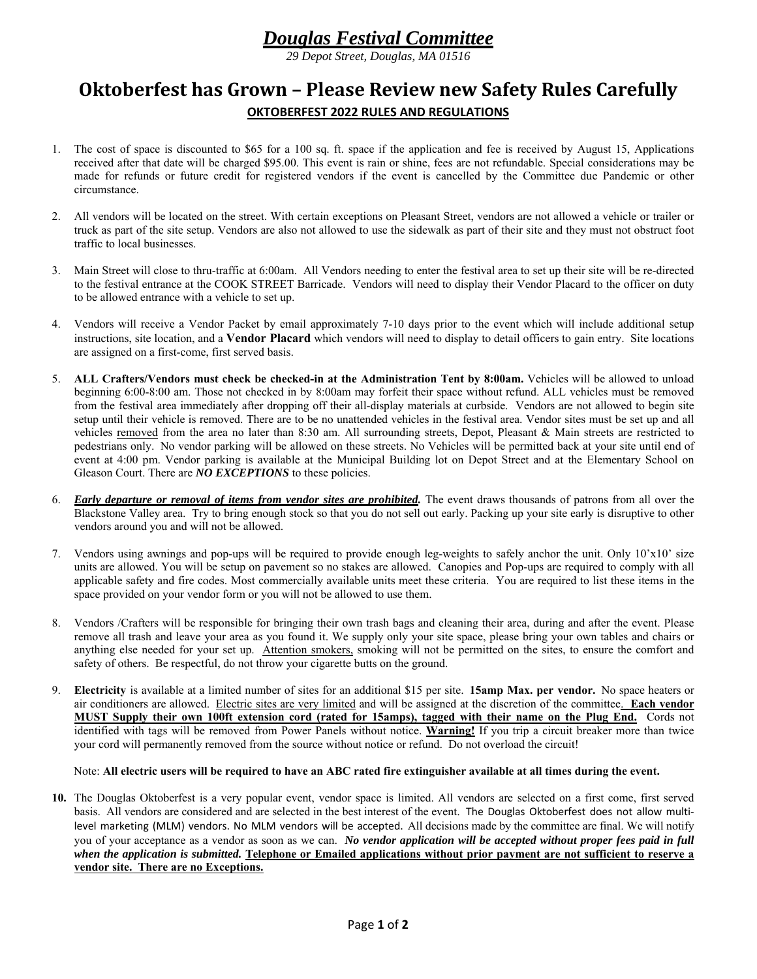# *Douglas Festival Committee*

*29 Depot Street, Douglas, MA 01516*

## **Oktoberfest has Grown – Please Review new Safety Rules Carefully OKTOBERFEST 2022 RULES AND REGULATIONS**

- 1. The cost of space is discounted to \$65 for a 100 sq. ft. space if the application and fee is received by August 15, Applications received after that date will be charged \$95.00. This event is rain or shine, fees are not refundable. Special considerations may be made for refunds or future credit for registered vendors if the event is cancelled by the Committee due Pandemic or other circumstance.
- 2. All vendors will be located on the street. With certain exceptions on Pleasant Street, vendors are not allowed a vehicle or trailer or truck as part of the site setup. Vendors are also not allowed to use the sidewalk as part of their site and they must not obstruct foot traffic to local businesses.
- 3. Main Street will close to thru-traffic at 6:00am. All Vendors needing to enter the festival area to set up their site will be re-directed to the festival entrance at the COOK STREET Barricade. Vendors will need to display their Vendor Placard to the officer on duty to be allowed entrance with a vehicle to set up.
- 4. Vendors will receive a Vendor Packet by email approximately 7-10 days prior to the event which will include additional setup instructions, site location, and a **Vendor Placard** which vendors will need to display to detail officers to gain entry. Site locations are assigned on a first-come, first served basis.
- 5. **ALL Crafters/Vendors must check be checked-in at the Administration Tent by 8:00am.** Vehicles will be allowed to unload beginning 6:00-8:00 am. Those not checked in by 8:00am may forfeit their space without refund. ALL vehicles must be removed from the festival area immediately after dropping off their all-display materials at curbside. Vendors are not allowed to begin site setup until their vehicle is removed. There are to be no unattended vehicles in the festival area. Vendor sites must be set up and all vehicles removed from the area no later than 8:30 am. All surrounding streets, Depot, Pleasant & Main streets are restricted to pedestrians only. No vendor parking will be allowed on these streets. No Vehicles will be permitted back at your site until end of event at 4:00 pm. Vendor parking is available at the Municipal Building lot on Depot Street and at the Elementary School on Gleason Court. There are *NO EXCEPTIONS* to these policies.
- 6. *Early departure or removal of items from vendor sites are prohibited.* The event draws thousands of patrons from all over the Blackstone Valley area. Try to bring enough stock so that you do not sell out early. Packing up your site early is disruptive to other vendors around you and will not be allowed.
- 7. Vendors using awnings and pop-ups will be required to provide enough leg-weights to safely anchor the unit. Only 10'x10' size units are allowed. You will be setup on pavement so no stakes are allowed. Canopies and Pop-ups are required to comply with all applicable safety and fire codes. Most commercially available units meet these criteria. You are required to list these items in the space provided on your vendor form or you will not be allowed to use them.
- 8. Vendors /Crafters will be responsible for bringing their own trash bags and cleaning their area, during and after the event. Please remove all trash and leave your area as you found it. We supply only your site space, please bring your own tables and chairs or anything else needed for your set up. Attention smokers, smoking will not be permitted on the sites, to ensure the comfort and safety of others. Be respectful, do not throw your cigarette butts on the ground.
- 9. **Electricity** is available at a limited number of sites for an additional \$15 per site. **15amp Max. per vendor.** No space heaters or air conditioners are allowed. Electric sites are very limited and will be assigned at the discretion of the committee. **Each vendor MUST Supply their own 100ft extension cord (rated for 15amps), tagged with their name on the Plug End.** Cords not identified with tags will be removed from Power Panels without notice. **Warning!** If you trip a circuit breaker more than twice your cord will permanently removed from the source without notice or refund. Do not overload the circuit!

#### Note: **All electric users will be required to have an ABC rated fire extinguisher available at all times during the event.**

**10.** The Douglas Oktoberfest is a very popular event, vendor space is limited. All vendors are selected on a first come, first served basis. All vendors are considered and are selected in the best interest of the event. The Douglas Oktoberfest does not allow multilevel marketing (MLM) vendors. No MLM vendors will be accepted. All decisions made by the committee are final. We will notify you of your acceptance as a vendor as soon as we can. *No vendor application will be accepted without proper fees paid in full when the application is submitted.* **Telephone or Emailed applications without prior payment are not sufficient to reserve a vendor site. There are no Exceptions.**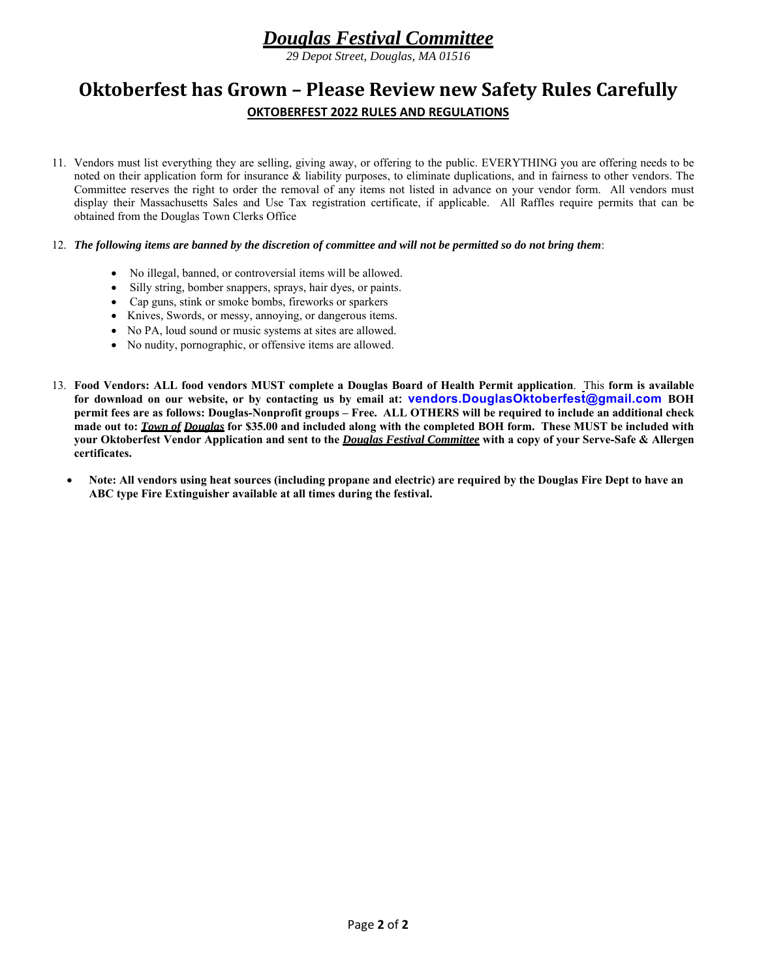# *Douglas Festival Committee*

*29 Depot Street, Douglas, MA 01516*

## **Oktoberfest has Grown – Please Review new Safety Rules Carefully OKTOBERFEST 2022 RULES AND REGULATIONS**

11. Vendors must list everything they are selling, giving away, or offering to the public. EVERYTHING you are offering needs to be noted on their application form for insurance & liability purposes, to eliminate duplications, and in fairness to other vendors. The Committee reserves the right to order the removal of any items not listed in advance on your vendor form. All vendors must display their Massachusetts Sales and Use Tax registration certificate, if applicable. All Raffles require permits that can be obtained from the Douglas Town Clerks Office

#### 12. *The following items are banned by the discretion of committee and will not be permitted so do not bring them*:

- No illegal, banned, or controversial items will be allowed.
- Silly string, bomber snappers, sprays, hair dyes, or paints.
- Cap guns, stink or smoke bombs, fireworks or sparkers
- Knives, Swords, or messy, annoying, or dangerous items.
- No PA, loud sound or music systems at sites are allowed.
- No nudity, pornographic, or offensive items are allowed.
- 13. **Food Vendors: ALL food vendors MUST complete a Douglas Board of Health Permit application**. This **form is available for download on our website, or by contacting us by email at: vendors.DouglasOktoberfest@gmail.com BOH permit fees are as follows: Douglas-Nonprofit groups – Free. ALL OTHERS will be required to include an additional check made out to:** *Town of Douglas* **for \$35.00 and included along with the completed BOH form. These MUST be included with your Oktoberfest Vendor Application and sent to the** *Douglas Festival Committee* **with a copy of your Serve-Safe & Allergen certificates.**
	- **Note: All vendors using heat sources (including propane and electric) are required by the Douglas Fire Dept to have an ABC type Fire Extinguisher available at all times during the festival.**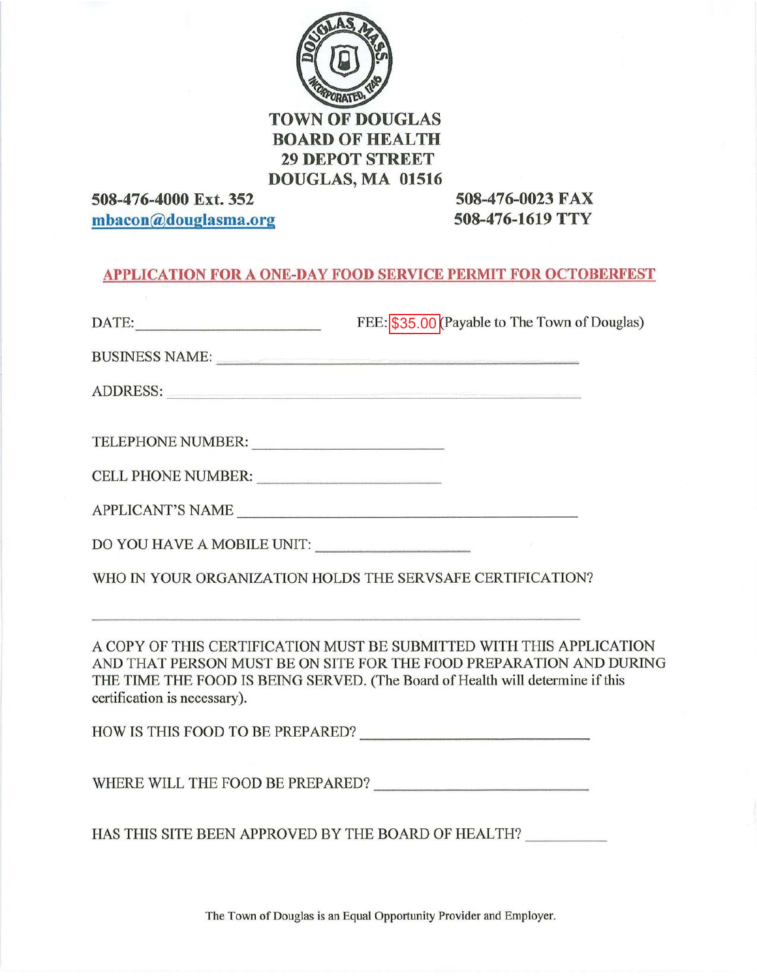

## **TOWN OF DOUGLAS BOARD OF HEALTH 29 DEPOT STREET** DOUGLAS, MA 01516

508-476-4000 Ext. 352 mbacon@douglasma.org

508-476-0023 FAX 508-476-1619 TTY

## **APPLICATION FOR A ONE-DAY FOOD SERVICE PERMIT FOR OCTOBERFEST**

| DATE: New York Street, New York Street, New York Street, New York Street, New York Street, New York Street, New York Street, New York Street, New York Street, New York Street, New York Street, New York Street, New York Str                                | FEE: \$35.00 (Payable to The Town of Douglas) |
|---------------------------------------------------------------------------------------------------------------------------------------------------------------------------------------------------------------------------------------------------------------|-----------------------------------------------|
| BUSINESS NAME:                                                                                                                                                                                                                                                |                                               |
| ADDRESS:                                                                                                                                                                                                                                                      |                                               |
| TELEPHONE NUMBER:                                                                                                                                                                                                                                             |                                               |
| CELL PHONE NUMBER:                                                                                                                                                                                                                                            |                                               |
| APPLICANT'S NAME                                                                                                                                                                                                                                              |                                               |
| DO YOU HAVE A MOBILE UNIT: ___________________                                                                                                                                                                                                                |                                               |
| WHO IN YOUR ORGANIZATION HOLDS THE SERVSAFE CERTIFICATION?                                                                                                                                                                                                    |                                               |
| A COPY OF THIS CERTIFICATION MUST BE SUBMITTED WITH THIS APPLICATION<br>AND THAT PERSON MUST BE ON SITE FOR THE FOOD PREPARATION AND DURING<br>THE TIME THE FOOD IS BEING SERVED. (The Board of Health will determine if this<br>certification is necessary). |                                               |
|                                                                                                                                                                                                                                                               |                                               |
|                                                                                                                                                                                                                                                               |                                               |
| HAS THIS SITE BEEN APPROVED BY THE BOARD OF HEALTH?                                                                                                                                                                                                           |                                               |

The Town of Douglas is an Equal Opportunity Provider and Employer.